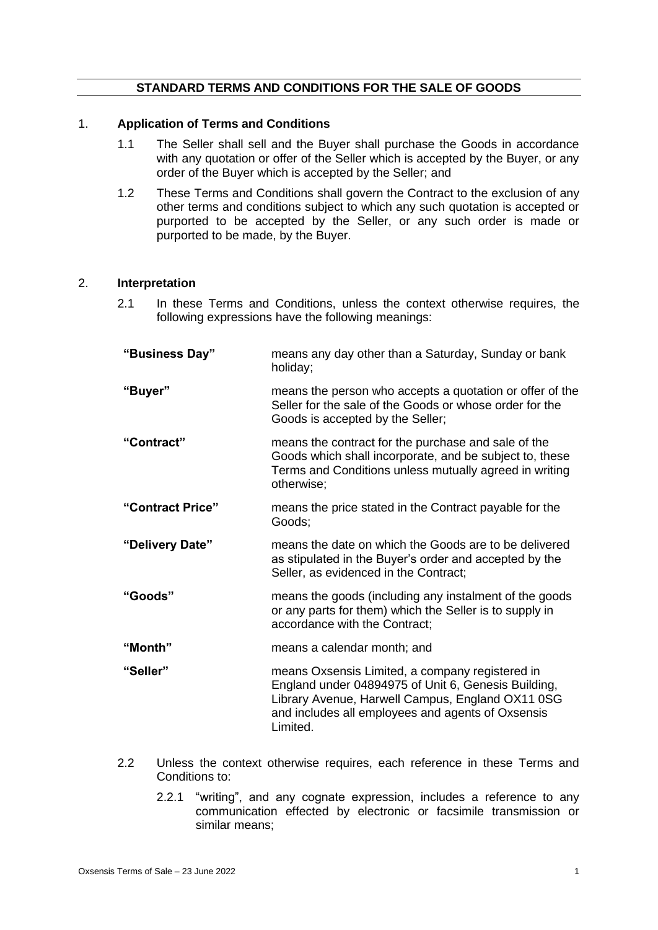## **STANDARD TERMS AND CONDITIONS FOR THE SALE OF GOODS**

### 1. **Application of Terms and Conditions**

- 1.1 The Seller shall sell and the Buyer shall purchase the Goods in accordance with any quotation or offer of the Seller which is accepted by the Buyer, or any order of the Buyer which is accepted by the Seller; and
- 1.2 These Terms and Conditions shall govern the Contract to the exclusion of any other terms and conditions subject to which any such quotation is accepted or purported to be accepted by the Seller, or any such order is made or purported to be made, by the Buyer.

#### 2. **Interpretation**

2.1 In these Terms and Conditions, unless the context otherwise requires, the following expressions have the following meanings:

| "Business Day"   | means any day other than a Saturday, Sunday or bank<br>holiday;                                                                                                                                                             |
|------------------|-----------------------------------------------------------------------------------------------------------------------------------------------------------------------------------------------------------------------------|
| "Buyer"          | means the person who accepts a quotation or offer of the<br>Seller for the sale of the Goods or whose order for the<br>Goods is accepted by the Seller;                                                                     |
| "Contract"       | means the contract for the purchase and sale of the<br>Goods which shall incorporate, and be subject to, these<br>Terms and Conditions unless mutually agreed in writing<br>otherwise;                                      |
| "Contract Price" | means the price stated in the Contract payable for the<br>Goods;                                                                                                                                                            |
| "Delivery Date"  | means the date on which the Goods are to be delivered<br>as stipulated in the Buyer's order and accepted by the<br>Seller, as evidenced in the Contract;                                                                    |
| "Goods"          | means the goods (including any instalment of the goods<br>or any parts for them) which the Seller is to supply in<br>accordance with the Contract;                                                                          |
| "Month"          | means a calendar month; and                                                                                                                                                                                                 |
| "Seller"         | means Oxsensis Limited, a company registered in<br>England under 04894975 of Unit 6, Genesis Building,<br>Library Avenue, Harwell Campus, England OX11 0SG<br>and includes all employees and agents of Oxsensis<br>Limited. |

- 2.2 Unless the context otherwise requires, each reference in these Terms and Conditions to:
	- 2.2.1 "writing", and any cognate expression, includes a reference to any communication effected by electronic or facsimile transmission or similar means;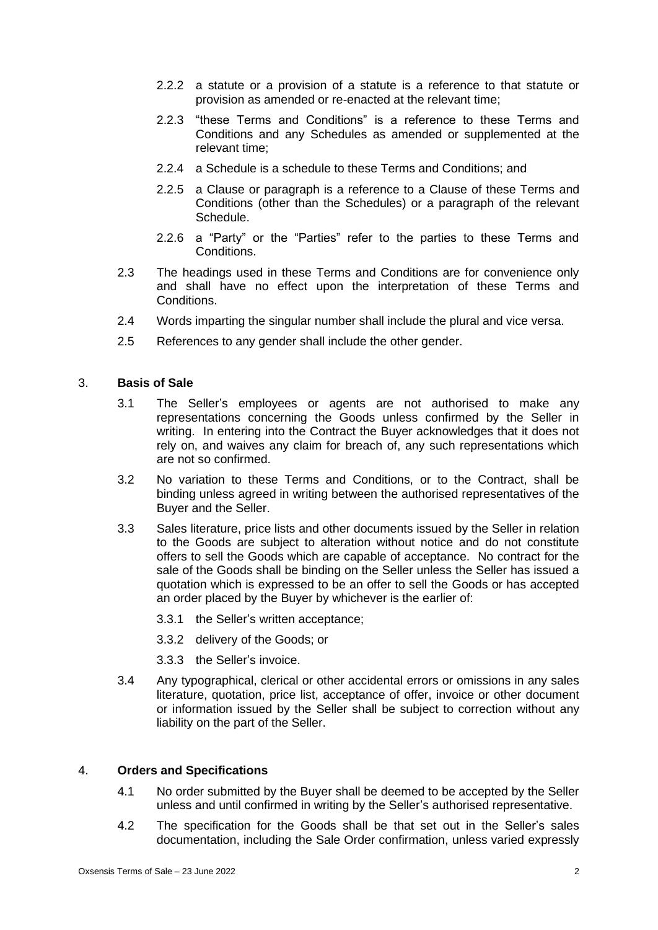- 2.2.2 a statute or a provision of a statute is a reference to that statute or provision as amended or re-enacted at the relevant time;
- 2.2.3 "these Terms and Conditions" is a reference to these Terms and Conditions and any Schedules as amended or supplemented at the relevant time;
- 2.2.4 a Schedule is a schedule to these Terms and Conditions; and
- 2.2.5 a Clause or paragraph is a reference to a Clause of these Terms and Conditions (other than the Schedules) or a paragraph of the relevant Schedule.
- 2.2.6 a "Party" or the "Parties" refer to the parties to these Terms and Conditions.
- 2.3 The headings used in these Terms and Conditions are for convenience only and shall have no effect upon the interpretation of these Terms and Conditions.
- 2.4 Words imparting the singular number shall include the plural and vice versa.
- 2.5 References to any gender shall include the other gender.

## 3. **Basis of Sale**

- 3.1 The Seller's employees or agents are not authorised to make any representations concerning the Goods unless confirmed by the Seller in writing. In entering into the Contract the Buyer acknowledges that it does not rely on, and waives any claim for breach of, any such representations which are not so confirmed.
- 3.2 No variation to these Terms and Conditions, or to the Contract, shall be binding unless agreed in writing between the authorised representatives of the Buyer and the Seller.
- 3.3 Sales literature, price lists and other documents issued by the Seller in relation to the Goods are subject to alteration without notice and do not constitute offers to sell the Goods which are capable of acceptance. No contract for the sale of the Goods shall be binding on the Seller unless the Seller has issued a quotation which is expressed to be an offer to sell the Goods or has accepted an order placed by the Buyer by whichever is the earlier of:
	- 3.3.1 the Seller's written acceptance;
	- 3.3.2 delivery of the Goods; or
	- 3.3.3 the Seller's invoice.
- 3.4 Any typographical, clerical or other accidental errors or omissions in any sales literature, quotation, price list, acceptance of offer, invoice or other document or information issued by the Seller shall be subject to correction without any liability on the part of the Seller.

### 4. **Orders and Specifications**

- 4.1 No order submitted by the Buyer shall be deemed to be accepted by the Seller unless and until confirmed in writing by the Seller's authorised representative.
- 4.2 The specification for the Goods shall be that set out in the Seller's sales documentation, including the Sale Order confirmation, unless varied expressly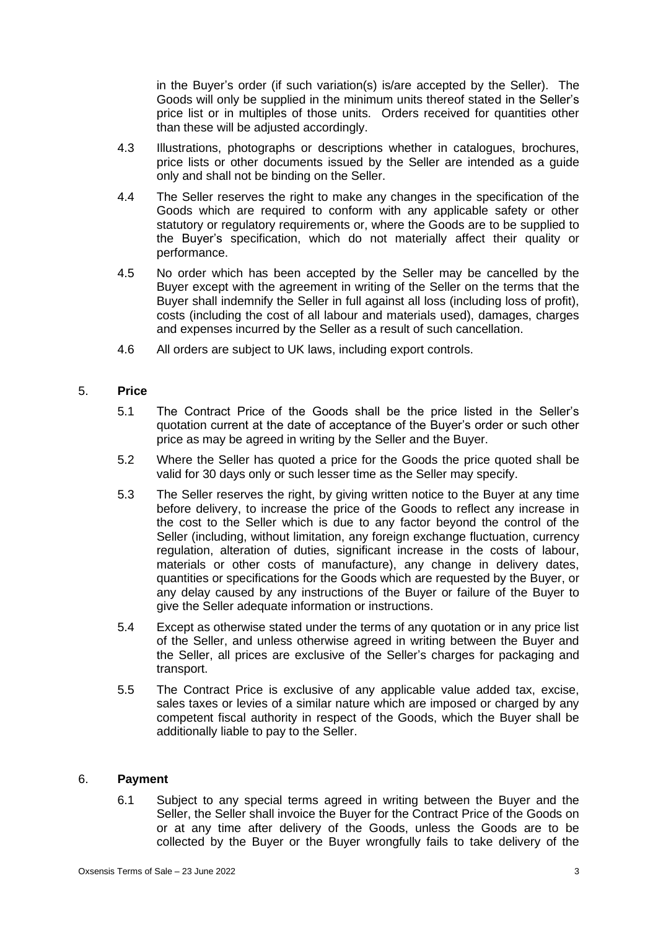in the Buyer's order (if such variation(s) is/are accepted by the Seller). The Goods will only be supplied in the minimum units thereof stated in the Seller's price list or in multiples of those units. Orders received for quantities other than these will be adjusted accordingly.

- 4.3 Illustrations, photographs or descriptions whether in catalogues, brochures, price lists or other documents issued by the Seller are intended as a guide only and shall not be binding on the Seller.
- 4.4 The Seller reserves the right to make any changes in the specification of the Goods which are required to conform with any applicable safety or other statutory or regulatory requirements or, where the Goods are to be supplied to the Buyer's specification, which do not materially affect their quality or performance.
- 4.5 No order which has been accepted by the Seller may be cancelled by the Buyer except with the agreement in writing of the Seller on the terms that the Buyer shall indemnify the Seller in full against all loss (including loss of profit), costs (including the cost of all labour and materials used), damages, charges and expenses incurred by the Seller as a result of such cancellation.
- 4.6 All orders are subject to UK laws, including export controls.

## 5. **Price**

- 5.1 The Contract Price of the Goods shall be the price listed in the Seller's quotation current at the date of acceptance of the Buyer's order or such other price as may be agreed in writing by the Seller and the Buyer.
- 5.2 Where the Seller has quoted a price for the Goods the price quoted shall be valid for 30 days only or such lesser time as the Seller may specify.
- 5.3 The Seller reserves the right, by giving written notice to the Buyer at any time before delivery, to increase the price of the Goods to reflect any increase in the cost to the Seller which is due to any factor beyond the control of the Seller (including, without limitation, any foreign exchange fluctuation, currency regulation, alteration of duties, significant increase in the costs of labour, materials or other costs of manufacture), any change in delivery dates, quantities or specifications for the Goods which are requested by the Buyer, or any delay caused by any instructions of the Buyer or failure of the Buyer to give the Seller adequate information or instructions.
- 5.4 Except as otherwise stated under the terms of any quotation or in any price list of the Seller, and unless otherwise agreed in writing between the Buyer and the Seller, all prices are exclusive of the Seller's charges for packaging and transport.
- 5.5 The Contract Price is exclusive of any applicable value added tax, excise, sales taxes or levies of a similar nature which are imposed or charged by any competent fiscal authority in respect of the Goods, which the Buyer shall be additionally liable to pay to the Seller.

### 6. **Payment**

6.1 Subject to any special terms agreed in writing between the Buyer and the Seller, the Seller shall invoice the Buyer for the Contract Price of the Goods on or at any time after delivery of the Goods, unless the Goods are to be collected by the Buyer or the Buyer wrongfully fails to take delivery of the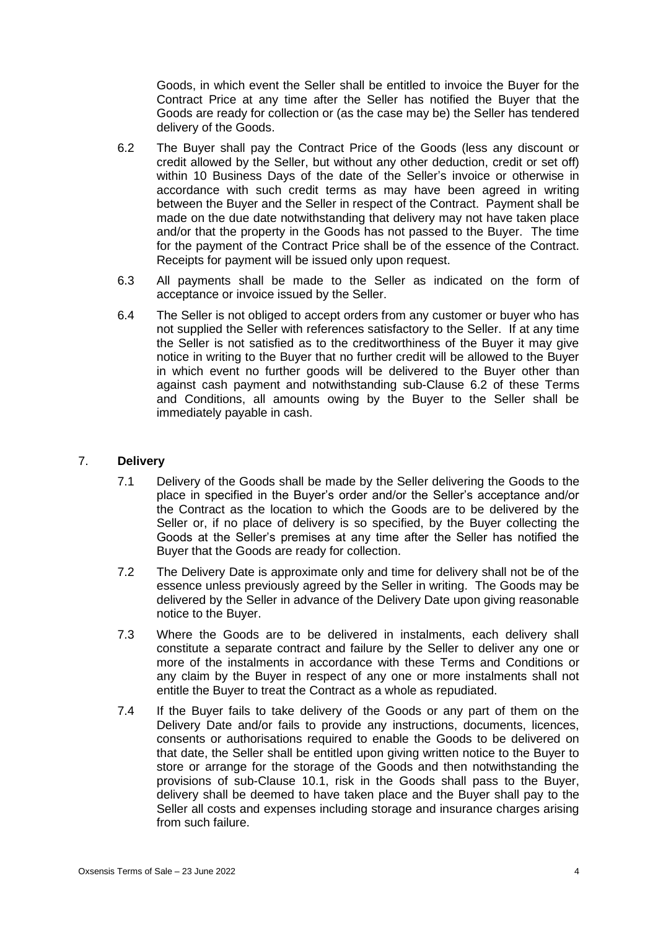Goods, in which event the Seller shall be entitled to invoice the Buyer for the Contract Price at any time after the Seller has notified the Buyer that the Goods are ready for collection or (as the case may be) the Seller has tendered delivery of the Goods.

- 6.2 The Buyer shall pay the Contract Price of the Goods (less any discount or credit allowed by the Seller, but without any other deduction, credit or set off) within 10 Business Days of the date of the Seller's invoice or otherwise in accordance with such credit terms as may have been agreed in writing between the Buyer and the Seller in respect of the Contract. Payment shall be made on the due date notwithstanding that delivery may not have taken place and/or that the property in the Goods has not passed to the Buyer. The time for the payment of the Contract Price shall be of the essence of the Contract. Receipts for payment will be issued only upon request.
- 6.3 All payments shall be made to the Seller as indicated on the form of acceptance or invoice issued by the Seller.
- 6.4 The Seller is not obliged to accept orders from any customer or buyer who has not supplied the Seller with references satisfactory to the Seller. If at any time the Seller is not satisfied as to the creditworthiness of the Buyer it may give notice in writing to the Buyer that no further credit will be allowed to the Buyer in which event no further goods will be delivered to the Buyer other than against cash payment and notwithstanding sub-Clause 6.2 of these Terms and Conditions, all amounts owing by the Buyer to the Seller shall be immediately payable in cash.

## 7. **Delivery**

- 7.1 Delivery of the Goods shall be made by the Seller delivering the Goods to the place in specified in the Buyer's order and/or the Seller's acceptance and/or the Contract as the location to which the Goods are to be delivered by the Seller or, if no place of delivery is so specified, by the Buyer collecting the Goods at the Seller's premises at any time after the Seller has notified the Buyer that the Goods are ready for collection.
- 7.2 The Delivery Date is approximate only and time for delivery shall not be of the essence unless previously agreed by the Seller in writing. The Goods may be delivered by the Seller in advance of the Delivery Date upon giving reasonable notice to the Buyer.
- 7.3 Where the Goods are to be delivered in instalments, each delivery shall constitute a separate contract and failure by the Seller to deliver any one or more of the instalments in accordance with these Terms and Conditions or any claim by the Buyer in respect of any one or more instalments shall not entitle the Buyer to treat the Contract as a whole as repudiated.
- 7.4 If the Buyer fails to take delivery of the Goods or any part of them on the Delivery Date and/or fails to provide any instructions, documents, licences, consents or authorisations required to enable the Goods to be delivered on that date, the Seller shall be entitled upon giving written notice to the Buyer to store or arrange for the storage of the Goods and then notwithstanding the provisions of sub-Clause 10.1, risk in the Goods shall pass to the Buyer, delivery shall be deemed to have taken place and the Buyer shall pay to the Seller all costs and expenses including storage and insurance charges arising from such failure.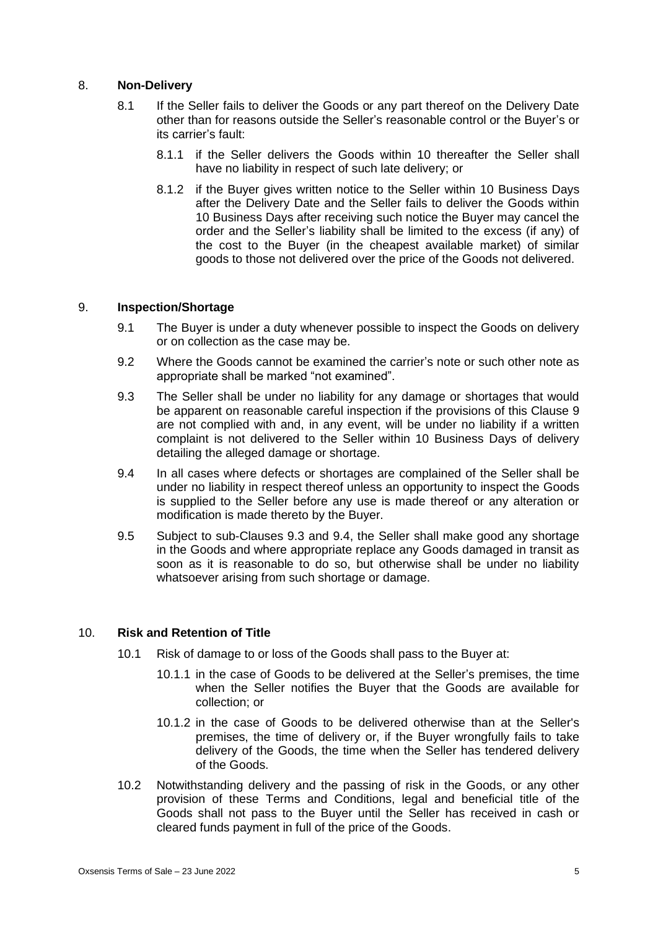## 8. **Non-Delivery**

- 8.1 If the Seller fails to deliver the Goods or any part thereof on the Delivery Date other than for reasons outside the Seller's reasonable control or the Buyer's or its carrier's fault:
	- 8.1.1 if the Seller delivers the Goods within 10 thereafter the Seller shall have no liability in respect of such late delivery; or
	- 8.1.2 if the Buyer gives written notice to the Seller within 10 Business Days after the Delivery Date and the Seller fails to deliver the Goods within 10 Business Days after receiving such notice the Buyer may cancel the order and the Seller's liability shall be limited to the excess (if any) of the cost to the Buyer (in the cheapest available market) of similar goods to those not delivered over the price of the Goods not delivered.

## 9. **Inspection/Shortage**

- 9.1 The Buyer is under a duty whenever possible to inspect the Goods on delivery or on collection as the case may be.
- 9.2 Where the Goods cannot be examined the carrier's note or such other note as appropriate shall be marked "not examined".
- 9.3 The Seller shall be under no liability for any damage or shortages that would be apparent on reasonable careful inspection if the provisions of this Clause 9 are not complied with and, in any event, will be under no liability if a written complaint is not delivered to the Seller within 10 Business Days of delivery detailing the alleged damage or shortage.
- 9.4 In all cases where defects or shortages are complained of the Seller shall be under no liability in respect thereof unless an opportunity to inspect the Goods is supplied to the Seller before any use is made thereof or any alteration or modification is made thereto by the Buyer.
- 9.5 Subject to sub-Clauses 9.3 and 9.4, the Seller shall make good any shortage in the Goods and where appropriate replace any Goods damaged in transit as soon as it is reasonable to do so, but otherwise shall be under no liability whatsoever arising from such shortage or damage.

### 10. **Risk and Retention of Title**

- 10.1 Risk of damage to or loss of the Goods shall pass to the Buyer at:
	- 10.1.1 in the case of Goods to be delivered at the Seller's premises, the time when the Seller notifies the Buyer that the Goods are available for collection; or
	- 10.1.2 in the case of Goods to be delivered otherwise than at the Seller's premises, the time of delivery or, if the Buyer wrongfully fails to take delivery of the Goods, the time when the Seller has tendered delivery of the Goods.
- 10.2 Notwithstanding delivery and the passing of risk in the Goods, or any other provision of these Terms and Conditions, legal and beneficial title of the Goods shall not pass to the Buyer until the Seller has received in cash or cleared funds payment in full of the price of the Goods.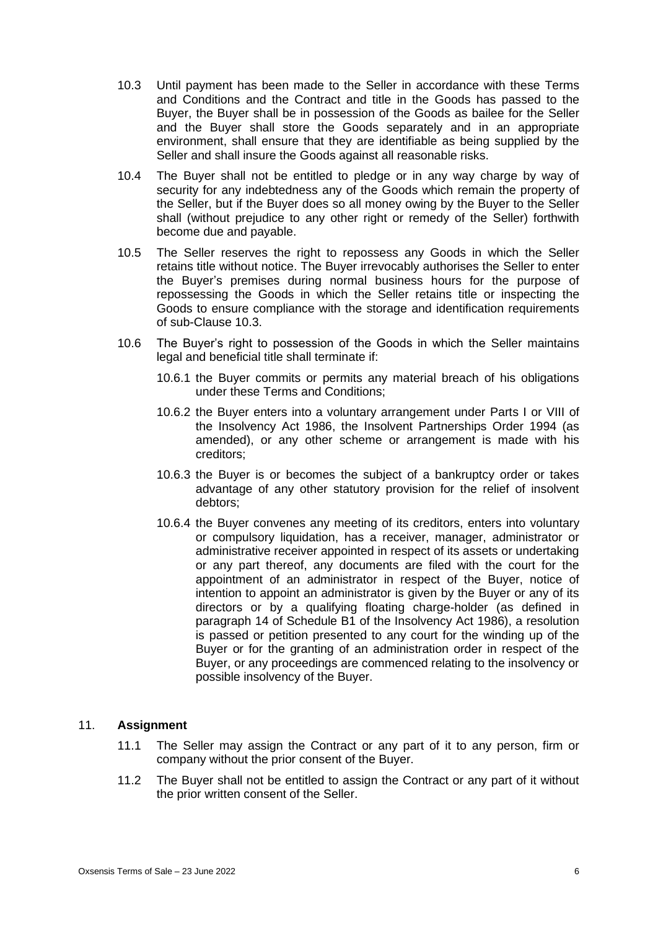- 10.3 Until payment has been made to the Seller in accordance with these Terms and Conditions and the Contract and title in the Goods has passed to the Buyer, the Buyer shall be in possession of the Goods as bailee for the Seller and the Buyer shall store the Goods separately and in an appropriate environment, shall ensure that they are identifiable as being supplied by the Seller and shall insure the Goods against all reasonable risks.
- 10.4 The Buyer shall not be entitled to pledge or in any way charge by way of security for any indebtedness any of the Goods which remain the property of the Seller, but if the Buyer does so all money owing by the Buyer to the Seller shall (without prejudice to any other right or remedy of the Seller) forthwith become due and payable.
- 10.5 The Seller reserves the right to repossess any Goods in which the Seller retains title without notice. The Buyer irrevocably authorises the Seller to enter the Buyer's premises during normal business hours for the purpose of repossessing the Goods in which the Seller retains title or inspecting the Goods to ensure compliance with the storage and identification requirements of sub-Clause 10.3.
- 10.6 The Buyer's right to possession of the Goods in which the Seller maintains legal and beneficial title shall terminate if:
	- 10.6.1 the Buyer commits or permits any material breach of his obligations under these Terms and Conditions;
	- 10.6.2 the Buyer enters into a voluntary arrangement under Parts I or VIII of the Insolvency Act 1986, the Insolvent Partnerships Order 1994 (as amended), or any other scheme or arrangement is made with his creditors;
	- 10.6.3 the Buyer is or becomes the subject of a bankruptcy order or takes advantage of any other statutory provision for the relief of insolvent debtors;
	- 10.6.4 the Buyer convenes any meeting of its creditors, enters into voluntary or compulsory liquidation, has a receiver, manager, administrator or administrative receiver appointed in respect of its assets or undertaking or any part thereof, any documents are filed with the court for the appointment of an administrator in respect of the Buyer, notice of intention to appoint an administrator is given by the Buyer or any of its directors or by a qualifying floating charge-holder (as defined in paragraph 14 of Schedule B1 of the Insolvency Act 1986), a resolution is passed or petition presented to any court for the winding up of the Buyer or for the granting of an administration order in respect of the Buyer, or any proceedings are commenced relating to the insolvency or possible insolvency of the Buyer.

### 11. **Assignment**

- 11.1 The Seller may assign the Contract or any part of it to any person, firm or company without the prior consent of the Buyer.
- 11.2 The Buyer shall not be entitled to assign the Contract or any part of it without the prior written consent of the Seller.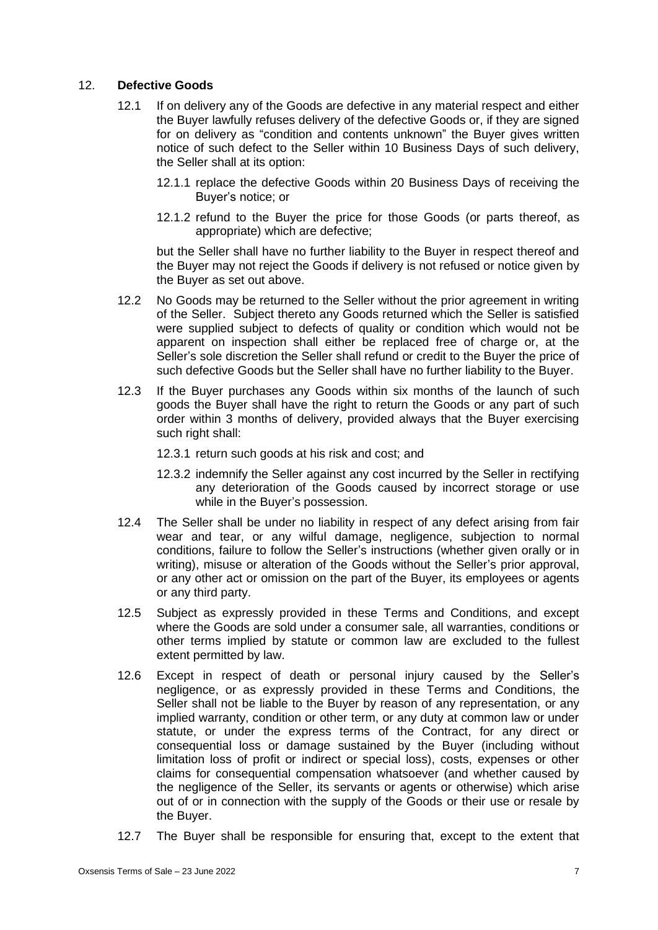# 12. **Defective Goods**

- 12.1 If on delivery any of the Goods are defective in any material respect and either the Buyer lawfully refuses delivery of the defective Goods or, if they are signed for on delivery as "condition and contents unknown" the Buyer gives written notice of such defect to the Seller within 10 Business Days of such delivery, the Seller shall at its option:
	- 12.1.1 replace the defective Goods within 20 Business Days of receiving the Buyer's notice; or
	- 12.1.2 refund to the Buyer the price for those Goods (or parts thereof, as appropriate) which are defective;

but the Seller shall have no further liability to the Buyer in respect thereof and the Buyer may not reject the Goods if delivery is not refused or notice given by the Buyer as set out above.

- 12.2 No Goods may be returned to the Seller without the prior agreement in writing of the Seller. Subject thereto any Goods returned which the Seller is satisfied were supplied subject to defects of quality or condition which would not be apparent on inspection shall either be replaced free of charge or, at the Seller's sole discretion the Seller shall refund or credit to the Buyer the price of such defective Goods but the Seller shall have no further liability to the Buyer.
- 12.3 If the Buyer purchases any Goods within six months of the launch of such goods the Buyer shall have the right to return the Goods or any part of such order within 3 months of delivery, provided always that the Buyer exercising such right shall:
	- 12.3.1 return such goods at his risk and cost; and
	- 12.3.2 indemnify the Seller against any cost incurred by the Seller in rectifying any deterioration of the Goods caused by incorrect storage or use while in the Buyer's possession.
- 12.4 The Seller shall be under no liability in respect of any defect arising from fair wear and tear, or any wilful damage, negligence, subjection to normal conditions, failure to follow the Seller's instructions (whether given orally or in writing), misuse or alteration of the Goods without the Seller's prior approval, or any other act or omission on the part of the Buyer, its employees or agents or any third party.
- 12.5 Subject as expressly provided in these Terms and Conditions, and except where the Goods are sold under a consumer sale, all warranties, conditions or other terms implied by statute or common law are excluded to the fullest extent permitted by law.
- 12.6 Except in respect of death or personal injury caused by the Seller's negligence, or as expressly provided in these Terms and Conditions, the Seller shall not be liable to the Buyer by reason of any representation, or any implied warranty, condition or other term, or any duty at common law or under statute, or under the express terms of the Contract, for any direct or consequential loss or damage sustained by the Buyer (including without limitation loss of profit or indirect or special loss), costs, expenses or other claims for consequential compensation whatsoever (and whether caused by the negligence of the Seller, its servants or agents or otherwise) which arise out of or in connection with the supply of the Goods or their use or resale by the Buyer.
- 12.7 The Buyer shall be responsible for ensuring that, except to the extent that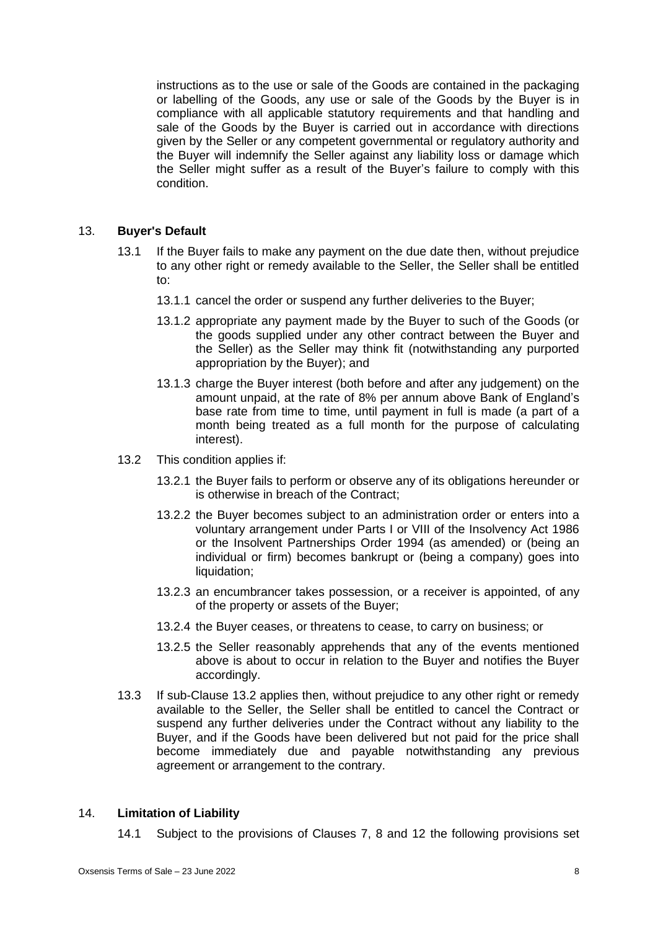instructions as to the use or sale of the Goods are contained in the packaging or labelling of the Goods, any use or sale of the Goods by the Buyer is in compliance with all applicable statutory requirements and that handling and sale of the Goods by the Buyer is carried out in accordance with directions given by the Seller or any competent governmental or regulatory authority and the Buyer will indemnify the Seller against any liability loss or damage which the Seller might suffer as a result of the Buyer's failure to comply with this condition.

### 13. **Buyer's Default**

- 13.1 If the Buyer fails to make any payment on the due date then, without prejudice to any other right or remedy available to the Seller, the Seller shall be entitled to:
	- 13.1.1 cancel the order or suspend any further deliveries to the Buyer;
	- 13.1.2 appropriate any payment made by the Buyer to such of the Goods (or the goods supplied under any other contract between the Buyer and the Seller) as the Seller may think fit (notwithstanding any purported appropriation by the Buyer); and
	- 13.1.3 charge the Buyer interest (both before and after any judgement) on the amount unpaid, at the rate of 8% per annum above Bank of England's base rate from time to time, until payment in full is made (a part of a month being treated as a full month for the purpose of calculating interest).
- 13.2 This condition applies if:
	- 13.2.1 the Buyer fails to perform or observe any of its obligations hereunder or is otherwise in breach of the Contract;
	- 13.2.2 the Buyer becomes subject to an administration order or enters into a voluntary arrangement under Parts I or VIII of the Insolvency Act 1986 or the Insolvent Partnerships Order 1994 (as amended) or (being an individual or firm) becomes bankrupt or (being a company) goes into liquidation;
	- 13.2.3 an encumbrancer takes possession, or a receiver is appointed, of any of the property or assets of the Buyer;
	- 13.2.4 the Buyer ceases, or threatens to cease, to carry on business; or
	- 13.2.5 the Seller reasonably apprehends that any of the events mentioned above is about to occur in relation to the Buyer and notifies the Buyer accordingly.
- 13.3 If sub-Clause 13.2 applies then, without prejudice to any other right or remedy available to the Seller, the Seller shall be entitled to cancel the Contract or suspend any further deliveries under the Contract without any liability to the Buyer, and if the Goods have been delivered but not paid for the price shall become immediately due and payable notwithstanding any previous agreement or arrangement to the contrary.

# 14. **Limitation of Liability**

14.1 Subject to the provisions of Clauses 7, 8 and 12 the following provisions set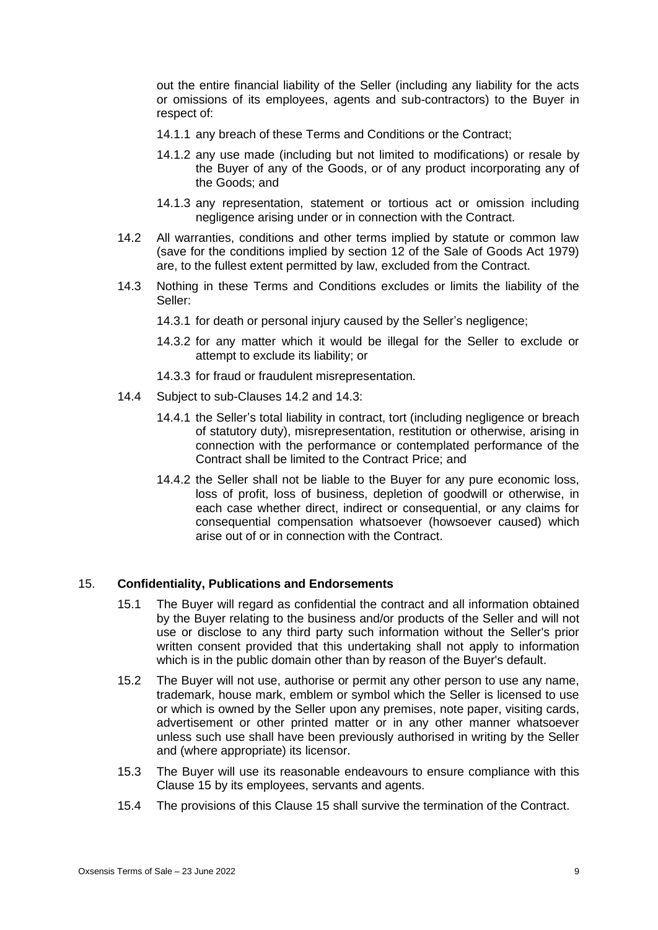out the entire financial liability of the Seller (including any liability for the acts or omissions of its employees, agents and sub-contractors) to the Buyer in respect of:

- 14.1.1 any breach of these Terms and Conditions or the Contract;
- 14.1.2 any use made (including but not limited to modifications) or resale by the Buyer of any of the Goods, or of any product incorporating any of the Goods; and
- 14.1.3 any representation, statement or tortious act or omission including negligence arising under or in connection with the Contract.
- 14.2 All warranties, conditions and other terms implied by statute or common law (save for the conditions implied by section 12 of the Sale of Goods Act 1979) are, to the fullest extent permitted by law, excluded from the Contract.
- 14.3 Nothing in these Terms and Conditions excludes or limits the liability of the Seller:
	- 14.3.1 for death or personal injury caused by the Seller's negligence;
	- 14.3.2 for any matter which it would be illegal for the Seller to exclude or attempt to exclude its liability; or
	- 14.3.3 for fraud or fraudulent misrepresentation.
- 14.4 Subject to sub-Clauses 14.2 and 14.3:
	- 14.4.1 the Seller's total liability in contract, tort (including negligence or breach of statutory duty), misrepresentation, restitution or otherwise, arising in connection with the performance or contemplated performance of the Contract shall be limited to the Contract Price; and
	- 14.4.2 the Seller shall not be liable to the Buyer for any pure economic loss, loss of profit, loss of business, depletion of goodwill or otherwise, in each case whether direct, indirect or consequential, or any claims for consequential compensation whatsoever (howsoever caused) which arise out of or in connection with the Contract.

### 15. **Confidentiality, Publications and Endorsements**

- 15.1 The Buyer will regard as confidential the contract and all information obtained by the Buyer relating to the business and/or products of the Seller and will not use or disclose to any third party such information without the Seller's prior written consent provided that this undertaking shall not apply to information which is in the public domain other than by reason of the Buyer's default.
- 15.2 The Buyer will not use, authorise or permit any other person to use any name, trademark, house mark, emblem or symbol which the Seller is licensed to use or which is owned by the Seller upon any premises, note paper, visiting cards, advertisement or other printed matter or in any other manner whatsoever unless such use shall have been previously authorised in writing by the Seller and (where appropriate) its licensor.
- 15.3 The Buyer will use its reasonable endeavours to ensure compliance with this Clause 15 by its employees, servants and agents.
- 15.4 The provisions of this Clause 15 shall survive the termination of the Contract.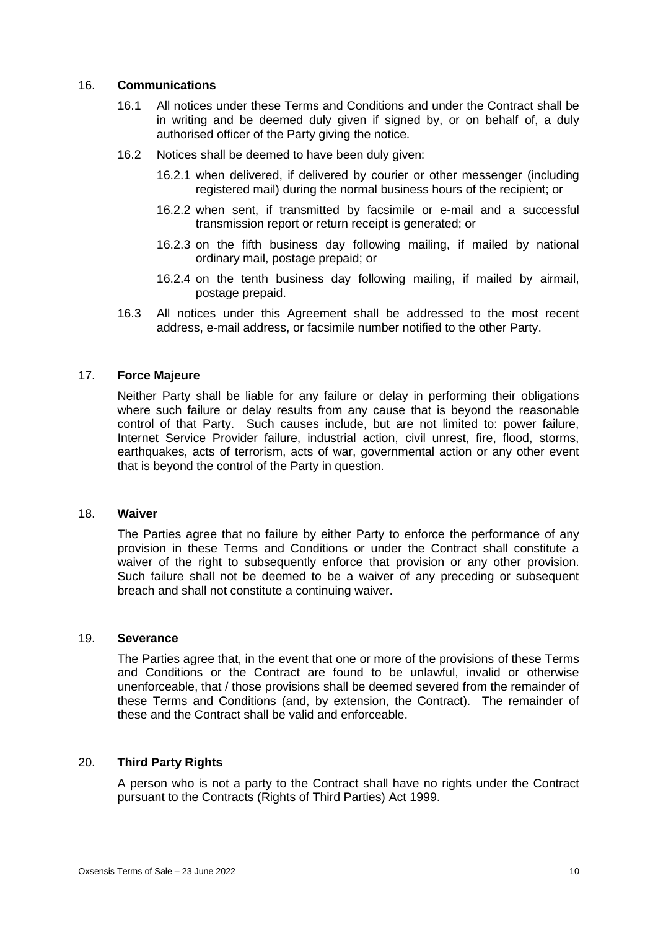## 16. **Communications**

- 16.1 All notices under these Terms and Conditions and under the Contract shall be in writing and be deemed duly given if signed by, or on behalf of, a duly authorised officer of the Party giving the notice.
- 16.2 Notices shall be deemed to have been duly given:
	- 16.2.1 when delivered, if delivered by courier or other messenger (including registered mail) during the normal business hours of the recipient; or
	- 16.2.2 when sent, if transmitted by facsimile or e-mail and a successful transmission report or return receipt is generated; or
	- 16.2.3 on the fifth business day following mailing, if mailed by national ordinary mail, postage prepaid; or
	- 16.2.4 on the tenth business day following mailing, if mailed by airmail, postage prepaid.
- 16.3 All notices under this Agreement shall be addressed to the most recent address, e-mail address, or facsimile number notified to the other Party.

### 17. **Force Majeure**

Neither Party shall be liable for any failure or delay in performing their obligations where such failure or delay results from any cause that is beyond the reasonable control of that Party. Such causes include, but are not limited to: power failure, Internet Service Provider failure, industrial action, civil unrest, fire, flood, storms, earthquakes, acts of terrorism, acts of war, governmental action or any other event that is beyond the control of the Party in question.

## 18. **Waiver**

The Parties agree that no failure by either Party to enforce the performance of any provision in these Terms and Conditions or under the Contract shall constitute a waiver of the right to subsequently enforce that provision or any other provision. Such failure shall not be deemed to be a waiver of any preceding or subsequent breach and shall not constitute a continuing waiver.

### 19. **Severance**

The Parties agree that, in the event that one or more of the provisions of these Terms and Conditions or the Contract are found to be unlawful, invalid or otherwise unenforceable, that / those provisions shall be deemed severed from the remainder of these Terms and Conditions (and, by extension, the Contract). The remainder of these and the Contract shall be valid and enforceable.

### 20. **Third Party Rights**

A person who is not a party to the Contract shall have no rights under the Contract pursuant to the Contracts (Rights of Third Parties) Act 1999.